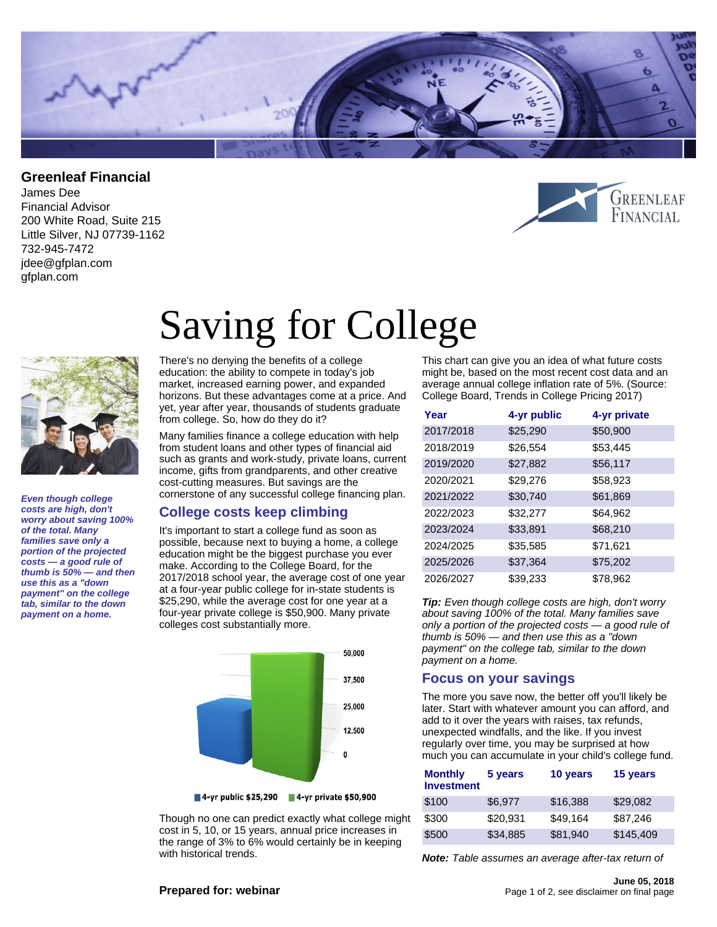

## **Greenleaf Financial**

James Dee Financial Advisor 200 White Road, Suite 215 Little Silver, NJ 07739-1162 732-945-7472 jdee@gfplan.com gfplan.com





**Even though college costs are high, don't worry about saving 100% of the total. Many families save only a portion of the projected costs — a good rule of thumb is 50% — and then use this as a "down payment" on the college tab, similar to the down payment on a home.**

# Saving for College

There's no denying the benefits of a college education: the ability to compete in today's job market, increased earning power, and expanded horizons. But these advantages come at a price. And yet, year after year, thousands of students graduate from college. So, how do they do it?

Many families finance a college education with help from student loans and other types of financial aid such as grants and work-study, private loans, current income, gifts from grandparents, and other creative cost-cutting measures. But savings are the cornerstone of any successful college financing plan.

## **College costs keep climbing**

It's important to start a college fund as soon as possible, because next to buying a home, a college education might be the biggest purchase you ever make. According to the College Board, for the 2017/2018 school year, the average cost of one year at a four-year public college for in-state students is \$25,290, while the average cost for one year at a four-year private college is \$50,900. Many private colleges cost substantially more.



Though no one can predict exactly what college might cost in 5, 10, or 15 years, annual price increases in the range of 3% to 6% would certainly be in keeping with historical trends.

This chart can give you an idea of what future costs might be, based on the most recent cost data and an average annual college inflation rate of 5%. (Source: College Board, Trends in College Pricing 2017)

| Year      | 4-yr public | 4-yr private |
|-----------|-------------|--------------|
| 2017/2018 | \$25,290    | \$50,900     |
| 2018/2019 | \$26,554    | \$53,445     |
| 2019/2020 | \$27,882    | \$56,117     |
| 2020/2021 | \$29,276    | \$58,923     |
| 2021/2022 | \$30,740    | \$61,869     |
| 2022/2023 | \$32,277    | \$64,962     |
| 2023/2024 | \$33,891    | \$68,210     |
| 2024/2025 | \$35,585    | \$71,621     |
| 2025/2026 | \$37,364    | \$75,202     |
| 2026/2027 | \$39,233    | \$78,962     |

**Tip:** Even though college costs are high, don't worry about saving 100% of the total. Many families save only a portion of the projected costs — a good rule of thumb is 50% — and then use this as a "down payment" on the college tab, similar to the down payment on a home.

# **Focus on your savings**

The more you save now, the better off you'll likely be later. Start with whatever amount you can afford, and add to it over the years with raises, tax refunds, unexpected windfalls, and the like. If you invest regularly over time, you may be surprised at how much you can accumulate in your child's college fund.

| <b>Monthly</b><br><b>Investment</b> | 5 years  | 10 years | 15 years  |
|-------------------------------------|----------|----------|-----------|
| \$100                               | \$6.977  | \$16,388 | \$29,082  |
| \$300                               | \$20.931 | \$49,164 | \$87,246  |
| \$500                               | \$34.885 | \$81,940 | \$145,409 |

**Note:** Table assumes an average after-tax return of